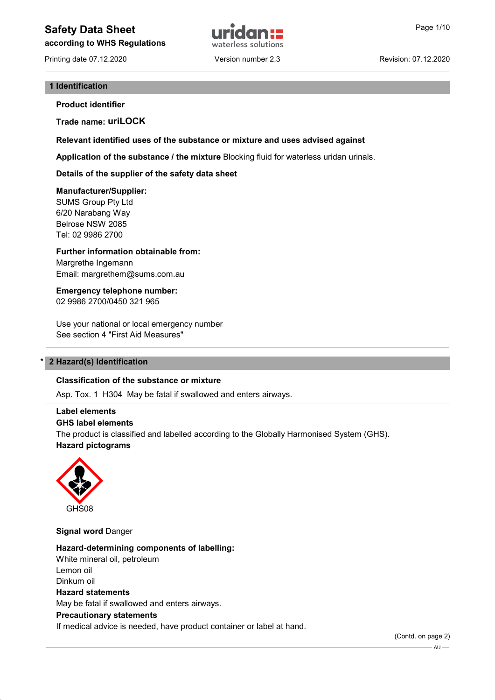# Safety Data Sheet **Example 2018 Page 1/10 Page 1/10**

according to WHS Regulations



Printing date 07.12.2020 Version number 2.3 Revision: 07.12.2020

#### 1 Identification

Product identifier

Trade name: uriLOCK

Relevant identified uses of the substance or mixture and uses advised against

Application of the substance / the mixture Blocking fluid for waterless uridan urinals.

Details of the supplier of the safety data sheet

#### Manufacturer/Supplier:

SUMS Group Pty Ltd 6/20 Narabang Way Belrose NSW 2085 Tel: 02 9986 2700

Further information obtainable from: Margrethe Ingemann Email: margrethem@sums.com.au

Emergency telephone number: 02 9986 2700/0450 321 965

Use your national or local emergency number See section 4 "First Aid Measures"

#### 2 Hazard(s) Identification

#### Classification of the substance or mixture

Asp. Tox. 1 H304 May be fatal if swallowed and enters airways.

#### Label elements

GHS label elements

The product is classified and labelled according to the Globally Harmonised System (GHS). Hazard pictograms



**Signal word Danger** 

Hazard-determining components of labelling: White mineral oil, petroleum Lemon oil Dinkum oil Hazard statements May be fatal if swallowed and enters airways. Precautionary statements If medical advice is needed, have product container or label at hand.

(Contd. on page 2)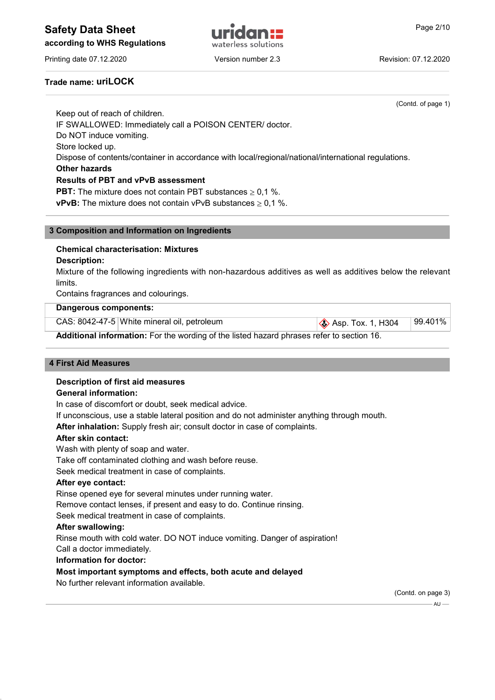# Safety Data Sheet **Example 2/10** and Trichard **Page 2/10** and Page 2/10

according to WHS Regulations



Printing date 07.12.2020 **Version number 2.3** Revision: 07.12.2020

## Trade name: uriLOCK

(Contd. of page 1) Keep out of reach of children. IF SWALLOWED: Immediately call a POISON CENTER/ doctor. Do NOT induce vomiting. Store locked up. Dispose of contents/container in accordance with local/regional/national/international regulations. Other hazards Results of PBT and vPvB assessment **PBT:** The mixture does not contain PBT substances  $\geq 0.1$  %. **vPvB:** The mixture does not contain vPvB substances  $\geq 0.1$  %.

#### 3 Composition and Information on Ingredients

## Chemical characterisation: Mixtures

#### Description:

Mixture of the following ingredients with non-hazardous additives as well as additives below the relevant limits.

Contains fragrances and colourings.

#### Dangerous components:

|                                                                                           | CAS: 8042-47-5 White mineral oil, petroleum | $\otimes$ Asp. Tox. 1, H304 | 99.401% |  |  |  |
|-------------------------------------------------------------------------------------------|---------------------------------------------|-----------------------------|---------|--|--|--|
| Additional information: For the wording of the listed hazard phrases refer to section 16. |                                             |                             |         |  |  |  |

#### 4 First Aid Measures

#### Description of first aid measures

#### General information:

In case of discomfort or doubt, seek medical advice.

If unconscious, use a stable lateral position and do not administer anything through mouth.

After inhalation: Supply fresh air; consult doctor in case of complaints.

#### After skin contact:

Wash with plenty of soap and water.

Take off contaminated clothing and wash before reuse.

Seek medical treatment in case of complaints.

#### After eye contact:

Rinse opened eye for several minutes under running water.

Remove contact lenses, if present and easy to do. Continue rinsing.

Seek medical treatment in case of complaints.

#### After swallowing:

Rinse mouth with cold water. DO NOT induce vomiting. Danger of aspiration!

Call a doctor immediately.

#### Information for doctor:

#### Most important symptoms and effects, both acute and delayed

No further relevant information available.

(Contd. on page 3)

 $-$  AU  $-$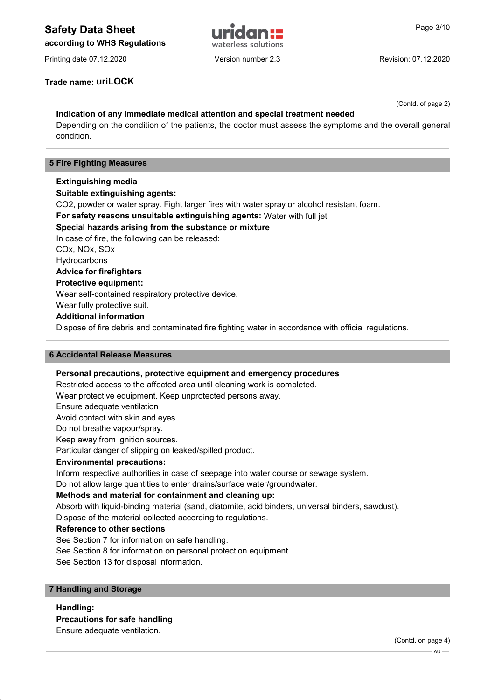# Safety Data Sheet **Example 2018 Page 3/10 Page 3/10**

according to WHS Regulations

Printing date 07.12.2020 **Version number 2.3** Revision: 07.12.2020

(Contd. of page 2)

## Trade name: uriLOCK

## Indication of any immediate medical attention and special treatment needed

Depending on the condition of the patients, the doctor must assess the symptoms and the overall general condition.

#### 5 Fire Fighting Measures

#### Extinguishing media

Suitable extinguishing agents:

CO2, powder or water spray. Fight larger fires with water spray or alcohol resistant foam.

For safety reasons unsuitable extinguishing agents: Water with full jet

#### Special hazards arising from the substance or mixture

In case of fire, the following can be released:

COx, NOx, SOx

**Hydrocarbons** 

## Advice for firefighters

Protective equipment:

Wear self-contained respiratory protective device.

Wear fully protective suit.

## Additional information

Dispose of fire debris and contaminated fire fighting water in accordance with official regulations.

#### 6 Accidental Release Measures

#### Personal precautions, protective equipment and emergency procedures

Restricted access to the affected area until cleaning work is completed.

Wear protective equipment. Keep unprotected persons away.

Ensure adequate ventilation

Avoid contact with skin and eyes.

Do not breathe vapour/spray.

Keep away from ignition sources.

Particular danger of slipping on leaked/spilled product.

#### Environmental precautions:

Inform respective authorities in case of seepage into water course or sewage system.

Do not allow large quantities to enter drains/surface water/groundwater.

#### Methods and material for containment and cleaning up:

Absorb with liquid-binding material (sand, diatomite, acid binders, universal binders, sawdust).

Dispose of the material collected according to regulations.

#### Reference to other sections

See Section 7 for information on safe handling.

See Section 8 for information on personal protection equipment.

See Section 13 for disposal information.

#### 7 Handling and Storage

Handling:

## Precautions for safe handling

Ensure adequate ventilation.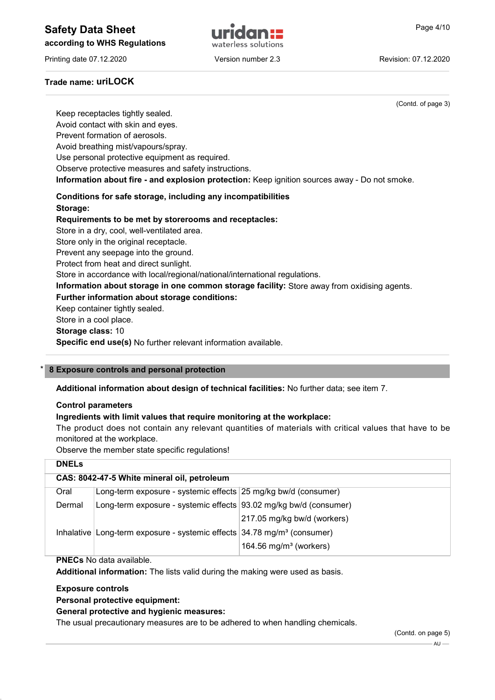# Safety Data Sheet **Example 2018 Page 4/10 Page 4/10**

according to WHS Regulations



Printing date 07.12.2020 **Version number 2.3** Revision: 07.12.2020

## Trade name: uriLOCK

(Contd. of page 3) Keep receptacles tightly sealed. Avoid contact with skin and eyes. Prevent formation of aerosols. Avoid breathing mist/vapours/spray. Use personal protective equipment as required. Observe protective measures and safety instructions. Information about fire - and explosion protection: Keep ignition sources away - Do not smoke. Conditions for safe storage, including any incompatibilities Storage: Requirements to be met by storerooms and receptacles: Store in a dry, cool, well-ventilated area. Store only in the original receptacle. Prevent any seepage into the ground. Protect from heat and direct sunlight. Store in accordance with local/regional/national/international regulations. Information about storage in one common storage facility: Store away from oxidising agents. Further information about storage conditions: Keep container tightly sealed. Store in a cool place. Storage class: 10

Specific end use(s) No further relevant information available.

#### 8 Exposure controls and personal protection

#### Additional information about design of technical facilities: No further data; see item 7.

#### Control parameters

#### Ingredients with limit values that require monitoring at the workplace:

The product does not contain any relevant quantities of materials with critical values that have to be monitored at the workplace.

Observe the member state specific regulations!

| <b>DNELs</b>                                |                                                                                       |                                    |  |  |  |
|---------------------------------------------|---------------------------------------------------------------------------------------|------------------------------------|--|--|--|
| CAS: 8042-47-5 White mineral oil, petroleum |                                                                                       |                                    |  |  |  |
| Oral                                        | Long-term exposure - systemic effects 25 mg/kg bw/d (consumer)                        |                                    |  |  |  |
| Dermal                                      | Long-term exposure - systemic effects 93.02 mg/kg bw/d (consumer)                     |                                    |  |  |  |
|                                             |                                                                                       | 217.05 mg/kg bw/d (workers)        |  |  |  |
|                                             | Inhalative Long-term exposure - systemic effects $34.78$ mg/m <sup>3</sup> (consumer) |                                    |  |  |  |
|                                             |                                                                                       | 164.56 mg/m <sup>3</sup> (workers) |  |  |  |

#### PNECs No data available.

Additional information: The lists valid during the making were used as basis.

#### Exposure controls

Personal protective equipment:

#### General protective and hygienic measures:

The usual precautionary measures are to be adhered to when handling chemicals.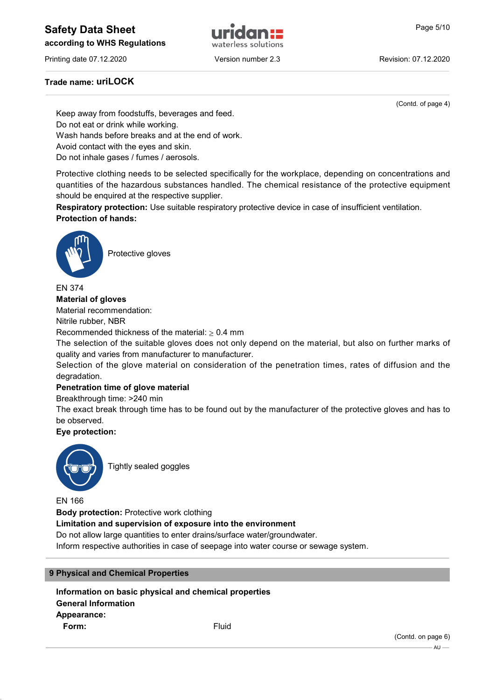# Safety Data Sheet **Example 19 and Solution Contract Contract Contract Contract Contract Contract Contract Contract Contract Contract Contract Contract Contract Contract Contract Contract Contract Contract Contract Contract**

according to WHS Regulations



Printing date 07.12.2020 **Version number 2.3** Revision: 07.12.2020

## Trade name: uriLOCK

(Contd. of page 4)

Keep away from foodstuffs, beverages and feed. Do not eat or drink while working. Wash hands before breaks and at the end of work. Avoid contact with the eyes and skin.

Do not inhale gases / fumes / aerosols.

Protective clothing needs to be selected specifically for the workplace, depending on concentrations and quantities of the hazardous substances handled. The chemical resistance of the protective equipment should be enquired at the respective supplier.

Respiratory protection: Use suitable respiratory protective device in case of insufficient ventilation. Protection of hands:



Protective gloves

EN 374

Material of gloves

Material recommendation:

Nitrile rubber, NBR

Recommended thickness of the material:  $\geq 0.4$  mm

The selection of the suitable gloves does not only depend on the material, but also on further marks of quality and varies from manufacturer to manufacturer.

Selection of the glove material on consideration of the penetration times, rates of diffusion and the degradation.

#### Penetration time of glove material

Breakthrough time: >240 min

The exact break through time has to be found out by the manufacturer of the protective gloves and has to be observed.

#### Eye protection:



Tightly sealed goggles

EN 166

Body protection: Protective work clothing

Limitation and supervision of exposure into the environment

Do not allow large quantities to enter drains/surface water/groundwater.

Inform respective authorities in case of seepage into water course or sewage system.

#### 9 Physical and Chemical Properties

Information on basic physical and chemical properties General Information Appearance: **Form:** Fluid

(Contd. on page 6)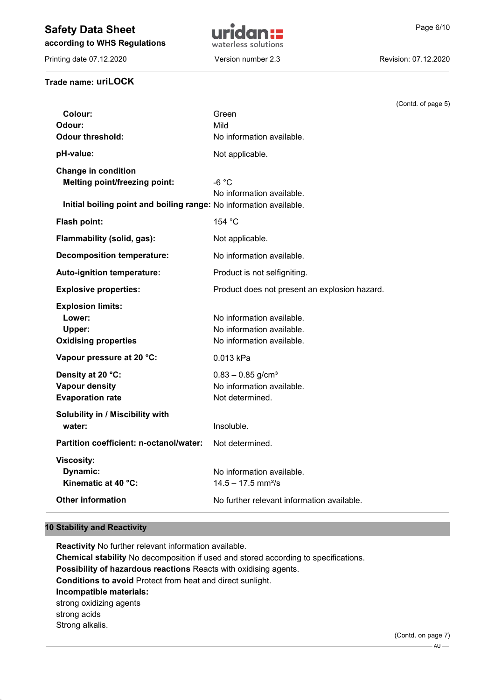# Safety Data Sheet **Example 19 and Sheet Contract Contract Contract Contract Contract Contract Contract Contract Contract Contract Contract Contract Contract Contract Contract Contract Contract Contract Contract Contract Co**

according to WHS Regulations

Printing date 07.12.2020 Version number 2.3 Revision: 07.12.2020

Trade name: uriLOCK



# (Contd. of page 5) Colour: Green Odour: Mild **Odour threshold:** No information available. pH-value: Not applicable. Change in condition Melting point/freezing point: -6 °C No information available. Initial boiling point and boiling range: No information available. Flash point: 154 °C Flammability (solid, gas): Not applicable. Decomposition temperature: No information available. Auto-ignition temperature: Product is not selfigniting. Explosive properties: Product does not present an explosion hazard. Explosion limits: Lower: No information available. Upper: Upper: No information available. Oxidising properties No information available. Vapour pressure at 20 °C: 0.013 kPa **Density at 20 °C:** 0.83 – 0.85 g/cm<sup>3</sup> Vapour density **No information available.** Evaporation rate Not determined. Solubility in / Miscibility with water: **Insoluble.** Partition coefficient: n-octanol/water: Not determined. Viscosity: **Dynamic:** No information available. **Kinematic at 40 °C:**  $14.5 - 17.5$  mm<sup>2</sup>/s Other information **Other information** No further relevant information available.

#### 10 Stability and Reactivity

Reactivity No further relevant information available. Chemical stability No decomposition if used and stored according to specifications. Possibility of hazardous reactions Reacts with oxidising agents. Conditions to avoid Protect from heat and direct sunlight. Incompatible materials: strong oxidizing agents strong acids Strong alkalis.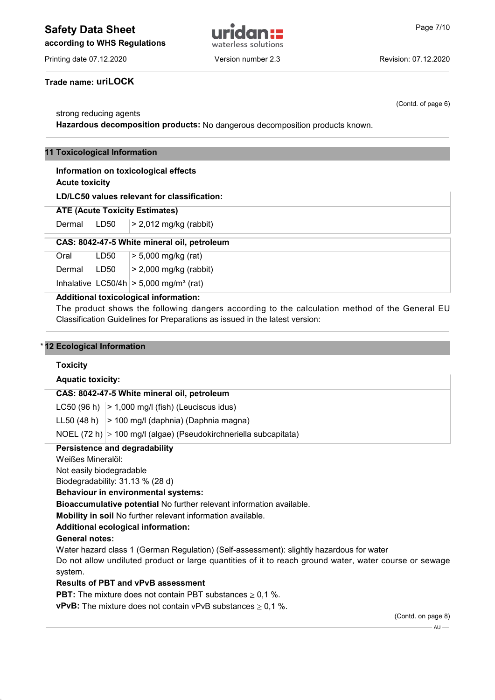# Safety Data Sheet **Example 19 and Sheet Contract Contract Contract Contract Contract Contract Contract Contract Contract Contract Contract Contract Contract Contract Contract Contract Contract Contract Contract Contract Co**



Printing date 07.12.2020 **Version number 2.3** Revision: 07.12.2020

(Contd. of page 6)

Trade name: uriLOCK

#### strong reducing agents

Hazardous decomposition products: No dangerous decomposition products known.

#### 11 Toxicological Information

#### Information on toxicological effects Acute toxicity

LD/LC50 values relevant for classification:

#### ATE (Acute Toxicity Estimates)

Dermal  $|LD50| > 2,012$  mg/kg (rabbit)

#### CAS: 8042-47-5 White mineral oil, petroleum

Oral LD50 > 5,000 mg/kg (rat) Dermal  $|LD50| > 2,000$  mg/kg (rabbit) Inhalative  $|LOG0/4h| > 5,000$  mg/m<sup>3</sup> (rat)

#### Additional toxicological information:

The product shows the following dangers according to the calculation method of the General EU Classification Guidelines for Preparations as issued in the latest version:

#### 12 Ecological Information

#### Toxicity

#### Aquatic toxicity:

#### CAS: 8042-47-5 White mineral oil, petroleum

LC50  $(96 h)$  > 1,000 mg/l (fish) (Leuciscus idus)

LL50 (48 h)  $\vert$  > 100 mg/l (daphnia) (Daphnia magna)

NOEL (72 h)  $\geq$  100 mg/l (algae) (Pseudokirchneriella subcapitata)

## Persistence and degradability

Weißes Mineralöl:

Not easily biodegradable

Biodegradability: 31.13 % (28 d)

Behaviour in environmental systems:

Bioaccumulative potential No further relevant information available.

Mobility in soil No further relevant information available.

Additional ecological information:

#### General notes:

Water hazard class 1 (German Regulation) (Self-assessment): slightly hazardous for water Do not allow undiluted product or large quantities of it to reach ground water, water course or sewage system.

#### Results of PBT and vPvB assessment

**PBT:** The mixture does not contain PBT substances  $\geq 0.1$  %.

**vPvB:** The mixture does not contain vPvB substances  $\geq 0.1$  %.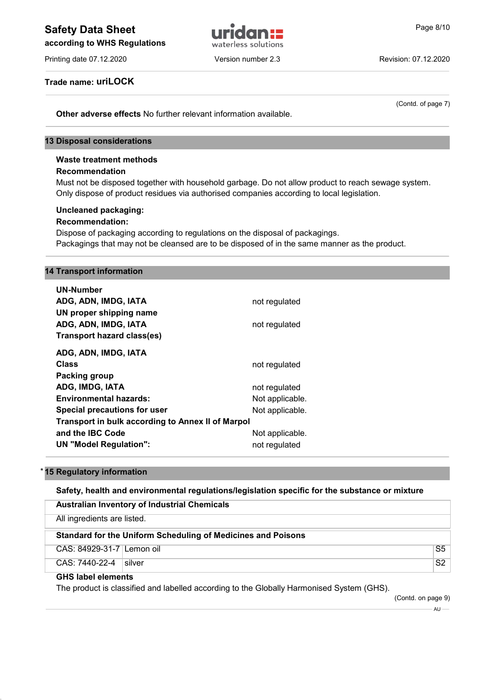# Safety Data Sheet **Example 2018 Page 8/10 Page 8/10**

according to WHS Regulations



Printing date 07.12.2020 Version number 2.3 Revision: 07.12.2020

(Contd. of page 7)

Trade name: uriLOCK

Other adverse effects No further relevant information available.

#### 13 Disposal considerations

## Waste treatment methods

#### Recommendation

Must not be disposed together with household garbage. Do not allow product to reach sewage system. Only dispose of product residues via authorised companies according to local legislation.

# Uncleaned packaging:

#### Recommendation:

Dispose of packaging according to regulations on the disposal of packagings. Packagings that may not be cleansed are to be disposed of in the same manner as the product.

#### 14 Transport information

| UN-Number                                                |                 |  |  |  |
|----------------------------------------------------------|-----------------|--|--|--|
| ADG, ADN, IMDG, IATA                                     | not regulated   |  |  |  |
| UN proper shipping name                                  |                 |  |  |  |
| ADG, ADN, IMDG, IATA                                     | not regulated   |  |  |  |
| <b>Transport hazard class(es)</b>                        |                 |  |  |  |
| ADG, ADN, IMDG, IATA                                     |                 |  |  |  |
| Class                                                    | not regulated   |  |  |  |
| Packing group                                            |                 |  |  |  |
| ADG, IMDG, IATA                                          | not regulated   |  |  |  |
| <b>Environmental hazards:</b>                            | Not applicable. |  |  |  |
| Special precautions for user                             | Not applicable. |  |  |  |
| <b>Transport in bulk according to Annex II of Marpol</b> |                 |  |  |  |
| and the IBC Code                                         | Not applicable. |  |  |  |
| UN "Model Regulation":                                   | not regulated   |  |  |  |
|                                                          |                 |  |  |  |

#### 15 Regulatory information

#### Safety, health and environmental regulations/legislation specific for the substance or mixture

| <b>Australian Inventory of Industrial Chemicals</b> |                                                              |                |  |
|-----------------------------------------------------|--------------------------------------------------------------|----------------|--|
| All ingredients are listed.                         |                                                              |                |  |
|                                                     | Standard for the Uniform Scheduling of Medicines and Poisons |                |  |
| CAS: 84929-31-7 Lemon oil                           |                                                              | S <sub>5</sub> |  |
| CAS: 7440-22-4<br><b>Silver</b>                     |                                                              | S2             |  |

#### GHS label elements

The product is classified and labelled according to the Globally Harmonised System (GHS).

(Contd. on page 9)

 $-AU$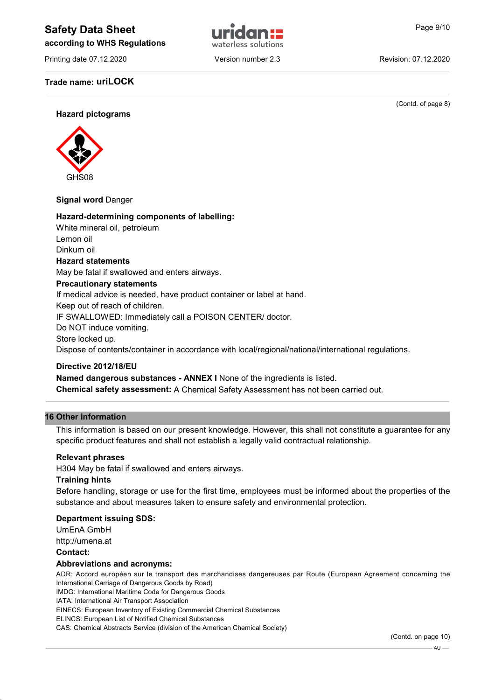# Safety Data Sheet **Example 2014** and Trichard Page 9/10

according to WHS Regulations

Printing date 07.12.2020 **Version number 2.3** Revision: 07.12.2020

Trade name: uriLOCK

(Contd. of page 8)

Hazard pictograms



#### Signal word Danger

### Hazard-determining components of labelling:

White mineral oil, petroleum Lemon oil Dinkum oil Hazard statements May be fatal if swallowed and enters airways. Precautionary statements If medical advice is needed, have product container or label at hand. Keep out of reach of children. IF SWALLOWED: Immediately call a POISON CENTER/ doctor. Do NOT induce vomiting. Store locked up. Dispose of contents/container in accordance with local/regional/national/international regulations.

#### Directive 2012/18/EU

Named dangerous substances - ANNEX I None of the ingredients is listed.

Chemical safety assessment: A Chemical Safety Assessment has not been carried out.

#### 16 Other information

This information is based on our present knowledge. However, this shall not constitute a guarantee for any specific product features and shall not establish a legally valid contractual relationship.

#### Relevant phrases

H304 May be fatal if swallowed and enters airways.

#### Training hints

Before handling, storage or use for the first time, employees must be informed about the properties of the substance and about measures taken to ensure safety and environmental protection.

#### Department issuing SDS:

UmEnA GmbH

http://umena.at

## Contact:

## Abbreviations and acronyms:

ADR: Accord européen sur le transport des marchandises dangereuses par Route (European Agreement concerning the International Carriage of Dangerous Goods by Road)

IMDG: International Maritime Code for Dangerous Goods

IATA: International Air Transport Association

EINECS: European Inventory of Existing Commercial Chemical Substances

ELINCS: European List of Notified Chemical Substances

CAS: Chemical Abstracts Service (division of the American Chemical Society)

(Contd. on page 10)

 $All$